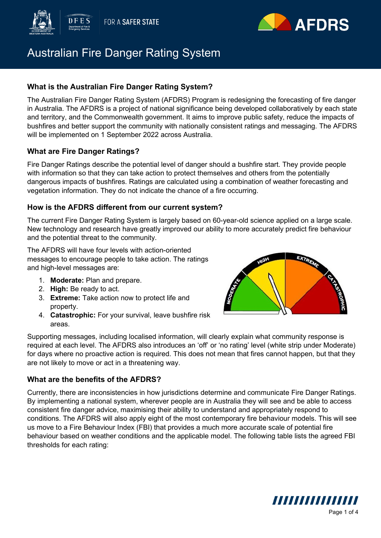



# Australian Fire Danger Rating System

## **What is the Australian Fire Danger Rating System?**

The Australian Fire Danger Rating System (AFDRS) Program is redesigning the forecasting of fire danger in Australia. The AFDRS is a project of national significance being developed collaboratively by each state and territory, and the Commonwealth government. It aims to improve public safety, reduce the impacts of bushfires and better support the community with nationally consistent ratings and messaging. The AFDRS will be implemented on 1 September 2022 across Australia.

## **What are Fire Danger Ratings?**

Fire Danger Ratings describe the potential level of danger should a bushfire start. They provide people with information so that they can take action to protect themselves and others from the potentially dangerous impacts of bushfires. Ratings are calculated using a combination of weather forecasting and vegetation information. They do not indicate the chance of a fire occurring.

### **How is the AFDRS different from our current system?**

The current Fire Danger Rating System is largely based on 60-year-old science applied on a large scale. New technology and research have greatly improved our ability to more accurately predict fire behaviour and the potential threat to the community.

The AFDRS will have four levels with action-oriented messages to encourage people to take action. The ratings and high-level messages are:

- 1. **Moderate:** Plan and prepare.
- 2. **High:** Be ready to act.
- 3. **Extreme:** Take action now to protect life and property.
- 4. **Catastrophic:** For your survival, leave bushfire risk areas.



Supporting messages, including localised information, will clearly explain what community response is required at each level. The AFDRS also introduces an 'off' or 'no rating' level (white strip under Moderate) for days where no proactive action is required. This does not mean that fires cannot happen, but that they are not likely to move or act in a threatening way.

### **What are the benefits of the AFDRS?**

Currently, there are inconsistencies in how jurisdictions determine and communicate Fire Danger Ratings. By implementing a national system, wherever people are in Australia they will see and be able to access consistent fire danger advice, maximising their ability to understand and appropriately respond to conditions. The AFDRS will also apply eight of the most contemporary fire behaviour models. This will see us move to a Fire Behaviour Index (FBI) that provides a much more accurate scale of potential fire behaviour based on weather conditions and the applicable model. The following table lists the agreed FBI thresholds for each rating:

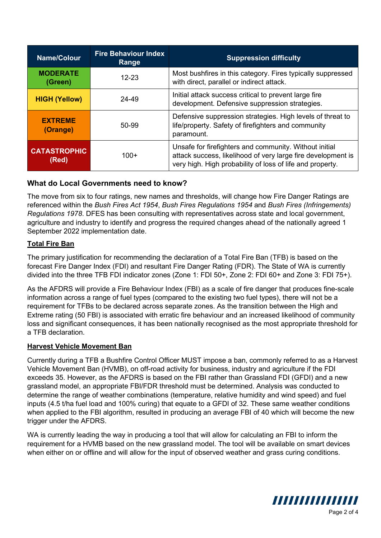| <b>Name/Colour</b>           | <b>Fire Behaviour Index</b><br>Range | <b>Suppression difficulty</b>                                                                                                                                                       |
|------------------------------|--------------------------------------|-------------------------------------------------------------------------------------------------------------------------------------------------------------------------------------|
| <b>MODERATE</b><br>(Green)   | $12 - 23$                            | Most bushfires in this category. Fires typically suppressed<br>with direct, parallel or indirect attack.                                                                            |
| <b>HIGH (Yellow)</b>         | 24-49                                | Initial attack success critical to prevent large fire<br>development. Defensive suppression strategies.                                                                             |
| <b>EXTREME</b><br>(Orange)   | 50-99                                | Defensive suppression strategies. High levels of threat to<br>life/property. Safety of firefighters and community<br>paramount.                                                     |
| <b>CATASTROPHIC</b><br>(Red) | $100+$                               | Unsafe for firefighters and community. Without initial<br>attack success, likelihood of very large fire development is<br>very high. High probability of loss of life and property. |

## **What do Local Governments need to know?**

The move from six to four ratings, new names and thresholds, will change how Fire Danger Ratings are referenced within the *Bush Fires Act 1954*, *Bush Fires Regulations 1954* and *Bush Fires (Infringements) Regulations 1978*. DFES has been consulting with representatives across state and local government, agriculture and industry to identify and progress the required changes ahead of the nationally agreed 1 September 2022 implementation date.

### **Total Fire Ban**

The primary justification for recommending the declaration of a Total Fire Ban (TFB) is based on the forecast Fire Danger Index (FDI) and resultant Fire Danger Rating (FDR). The State of WA is currently divided into the three TFB FDI indicator zones (Zone 1: FDI 50+, Zone 2: FDI 60+ and Zone 3: FDI 75+).

As the AFDRS will provide a Fire Behaviour Index (FBI) as a scale of fire danger that produces fine-scale information across a range of fuel types (compared to the existing two fuel types), there will not be a requirement for TFBs to be declared across separate zones. As the transition between the High and Extreme rating (50 FBI) is associated with erratic fire behaviour and an increased likelihood of community loss and significant consequences, it has been nationally recognised as the most appropriate threshold for a TFB declaration.

### **Harvest Vehicle Movement Ban**

Currently during a TFB a Bushfire Control Officer MUST impose a ban, commonly referred to as a Harvest Vehicle Movement Ban (HVMB), on off-road activity for business, industry and agriculture if the FDI exceeds 35. However, as the AFDRS is based on the FBI rather than Grassland FDI (GFDI) and a new grassland model, an appropriate FBI/FDR threshold must be determined. Analysis was conducted to determine the range of weather combinations (temperature, relative humidity and wind speed) and fuel inputs (4.5 t/ha fuel load and 100% curing) that equate to a GFDI of 32. These same weather conditions when applied to the FBI algorithm, resulted in producing an average FBI of 40 which will become the new trigger under the AFDRS.

WA is currently leading the way in producing a tool that will allow for calculating an FBI to inform the requirement for a HVMB based on the new grassland model. The tool will be available on smart devices when either on or offline and will allow for the input of observed weather and grass curing conditions.

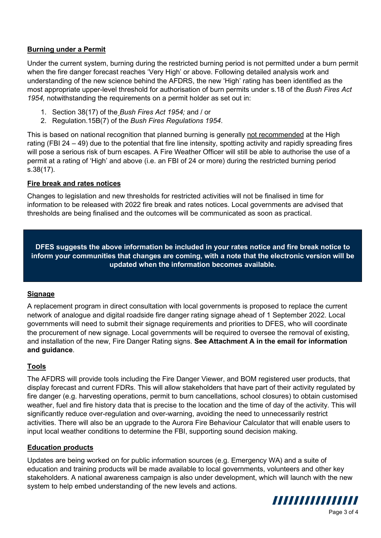### **Burning under a Permit**

Under the current system, burning during the restricted burning period is not permitted under a burn permit when the fire danger forecast reaches 'Very High' or above. Following detailed analysis work and understanding of the new science behind the AFDRS, the new 'High' rating has been identified as the most appropriate upper-level threshold for authorisation of burn permits under s.18 of the *Bush Fires Act 1954,* notwithstanding the requirements on a permit holder as set out in:

- 1. Section 38(17) of the *Bush Fires Act 1954;* and / or
- 2. Regulation.15B(7) of the *Bush Fires Regulations 1954*.

This is based on national recognition that planned burning is generally not recommended at the High rating (FBI 24 – 49) due to the potential that fire line intensity, spotting activity and rapidly spreading fires will pose a serious risk of burn escapes. A Fire Weather Officer will still be able to authorise the use of a permit at a rating of 'High' and above (i.e. an FBI of 24 or more) during the restricted burning period s.38(17).

### **Fire break and rates notices**

Changes to legislation and new thresholds for restricted activities will not be finalised in time for information to be released with 2022 fire break and rates notices. Local governments are advised that thresholds are being finalised and the outcomes will be communicated as soon as practical.

**DFES suggests the above information be included in your rates notice and fire break notice to inform your communities that changes are coming, with a note that the electronic version will be updated when the information becomes available.**

### **Signage**

A replacement program in direct consultation with local governments is proposed to replace the current network of analogue and digital roadside fire danger rating signage ahead of 1 September 2022. Local governments will need to submit their signage requirements and priorities to DFES, who will coordinate the procurement of new signage. Local governments will be required to oversee the removal of existing. and installation of the new, Fire Danger Rating signs. **See Attachment A in the email for information and guidance**.

### **Tools**

The AFDRS will provide tools including the Fire Danger Viewer, and BOM registered user products, that display forecast and current FDRs. This will allow stakeholders that have part of their activity regulated by fire danger (e.g. harvesting operations, permit to burn cancellations, school closures) to obtain customised weather, fuel and fire history data that is precise to the location and the time of day of the activity. This will significantly reduce over-regulation and over-warning, avoiding the need to unnecessarily restrict activities. There will also be an upgrade to the Aurora Fire Behaviour Calculator that will enable users to input local weather conditions to determine the FBI, supporting sound decision making.

### **Education products**

Updates are being worked on for public information sources (e.g. Emergency WA) and a suite of education and training products will be made available to local governments, volunteers and other key stakeholders. A national awareness campaign is also under development, which will launch with the new system to help embed understanding of the new levels and actions.



Page 3 of 4